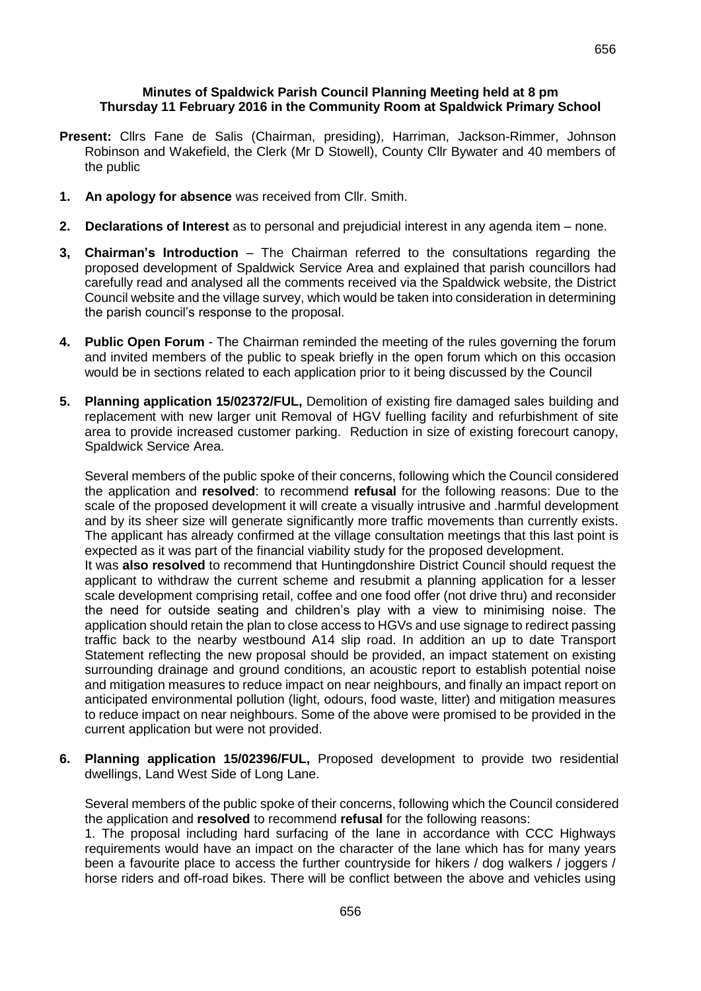## **Minutes of Spaldwick Parish Council Planning Meeting held at 8 pm Thursday 11 February 2016 in the Community Room at Spaldwick Primary School**

- **Present:** Cllrs Fane de Salis (Chairman, presiding), Harriman, Jackson-Rimmer, Johnson Robinson and Wakefield, the Clerk (Mr D Stowell), County Cllr Bywater and 40 members of the public
- **1. An apology for absence** was received from Cllr. Smith.
- **2. Declarations of Interest** as to personal and prejudicial interest in any agenda item none.
- **3, Chairman's Introduction** The Chairman referred to the consultations regarding the proposed development of Spaldwick Service Area and explained that parish councillors had carefully read and analysed all the comments received via the Spaldwick website, the District Council website and the village survey, which would be taken into consideration in determining the parish council's response to the proposal.
- **4. Public Open Forum** The Chairman reminded the meeting of the rules governing the forum and invited members of the public to speak briefly in the open forum which on this occasion would be in sections related to each application prior to it being discussed by the Council
- **5. Planning application 15/02372/FUL,** Demolition of existing fire damaged sales building and replacement with new larger unit Removal of HGV fuelling facility and refurbishment of site area to provide increased customer parking. Reduction in size of existing forecourt canopy, Spaldwick Service Area.

Several members of the public spoke of their concerns, following which the Council considered the application and **resolved**: to recommend **refusal** for the following reasons: Due to the scale of the proposed development it will create a visually intrusive and .harmful development and by its sheer size will generate significantly more traffic movements than currently exists. The applicant has already confirmed at the village consultation meetings that this last point is expected as it was part of the financial viability study for the proposed development.

It was **also resolved** to recommend that Huntingdonshire District Council should request the applicant to withdraw the current scheme and resubmit a planning application for a lesser scale development comprising retail, coffee and one food offer (not drive thru) and reconsider the need for outside seating and children's play with a view to minimising noise. The application should retain the plan to close access to HGVs and use signage to redirect passing traffic back to the nearby westbound A14 slip road. In addition an up to date Transport Statement reflecting the new proposal should be provided, an impact statement on existing surrounding drainage and ground conditions, an acoustic report to establish potential noise and mitigation measures to reduce impact on near neighbours, and finally an impact report on anticipated environmental pollution (light, odours, food waste, litter) and mitigation measures to reduce impact on near neighbours. Some of the above were promised to be provided in the current application but were not provided.

**6. Planning application 15/02396/FUL,** Proposed development to provide two residential dwellings, Land West Side of Long Lane.

Several members of the public spoke of their concerns, following which the Council considered the application and **resolved** to recommend **refusal** for the following reasons:

1. The proposal including hard surfacing of the lane in accordance with CCC Highways requirements would have an impact on the character of the lane which has for many years been a favourite place to access the further countryside for hikers / dog walkers / joggers / horse riders and off-road bikes. There will be conflict between the above and vehicles using